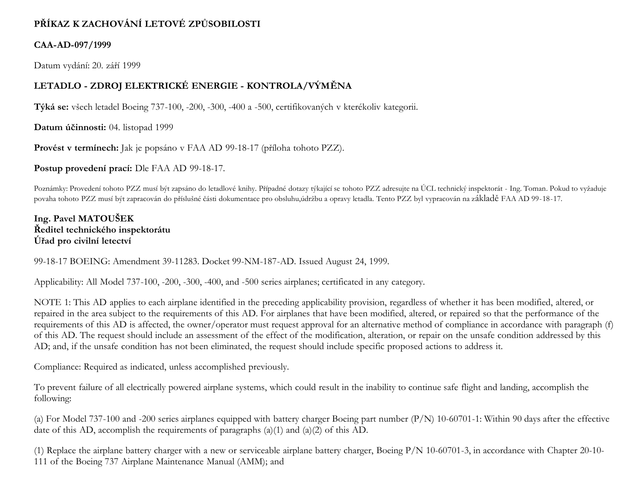# **PŘÍKAZ K ZACHOVÁNÍ LETOVÉ ZPŮSOBILOSTI**

### **CAA-AD-097/1999**

Datum vydání: 20. září 1999

## **LETADLO - ZDROJ ELEKTRICKÉ ENERGIE - KONTROLA/VÝMĚNA**

**Týká se:** všech letadel Boeing 737-100, -200, -300, -400 a -500, certifikovaných v kterékoliv kategorii.

**Datum účinnosti:** 04. listopad 1999

**Provést v termínech:** Jak je popsáno v FAA AD 99-18-17 (příloha tohoto PZZ).

**Postup provedení prací:** Dle FAA AD 99-18-17.

Poznámky: Provedení tohoto PZZ musí být zapsáno do letadlové knihy. Případné dotazy týkající se tohoto PZZ adresujte na ÚCL technický inspektorát - Ing. Toman. Pokud to vyžaduje povaha tohoto PZZ musí být zapracován do příslušné části dokumentace pro obsluhu,údržbu a opravy letadla. Tento PZZ byl vypracován na základě FAA AD 99-18-17.

**Ing. Pavel MATOUŠEK Ředitel technického inspektorátu Úřad pro civilní letectví**

99-18-17 BOEING: Amendment 39-11283. Docket 99-NM-187-AD. Issued August 24, 1999.

Applicability: All Model 737-100, -200, -300, -400, and -500 series airplanes; certificated in any category.

NOTE 1: This AD applies to each airplane identified in the preceding applicability provision, regardless of whether it has been modified, altered, or repaired in the area subject to the requirements of this AD. For airplanes that have been modified, altered, or repaired so that the performance of the requirements of this AD is affected, the owner/operator must request approval for an alternative method of compliance in accordance with paragraph (f) of this AD. The request should include an assessment of the effect of the modification, alteration, or repair on the unsafe condition addressed by this AD; and, if the unsafe condition has not been eliminated, the request should include specific proposed actions to address it.

Compliance: Required as indicated, unless accomplished previously.

To prevent failure of all electrically powered airplane systems, which could result in the inability to continue safe flight and landing, accomplish the following:

(a) For Model 737-100 and -200 series airplanes equipped with battery charger Boeing part number (P/N) 10-60701-1: Within 90 days after the effective date of this AD, accomplish the requirements of paragraphs (a)(1) and (a)(2) of this AD.

(1) Replace the airplane battery charger with a new or serviceable airplane battery charger, Boeing P/N 10-60701-3, in accordance with Chapter 20-10- 111 of the Boeing 737 Airplane Maintenance Manual (AMM); and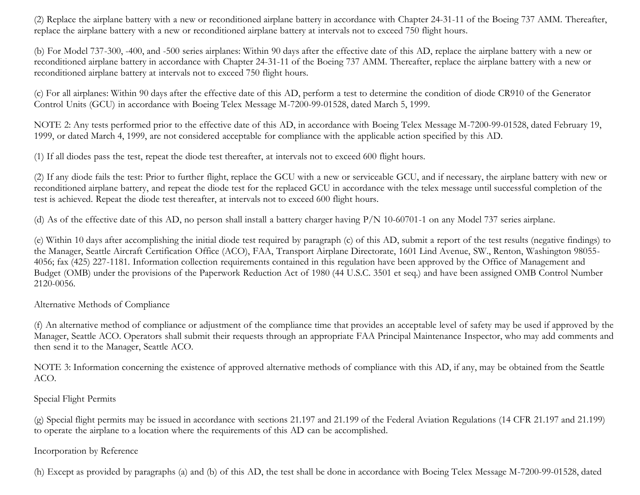(2) Replace the airplane battery with a new or reconditioned airplane battery in accordance with Chapter 24-31-11 of the Boeing 737 AMM. Thereafter, replace the airplane battery with a new or reconditioned airplane battery at intervals not to exceed 750 flight hours.

(b) For Model 737-300, -400, and -500 series airplanes: Within 90 days after the effective date of this AD, replace the airplane battery with a new or reconditioned airplane battery in accordance with Chapter 24-31-11 of the Boeing 737 AMM. Thereafter, replace the airplane battery with a new or reconditioned airplane battery at intervals not to exceed 750 flight hours.

(c) For all airplanes: Within 90 days after the effective date of this AD, perform a test to determine the condition of diode CR910 of the Generator Control Units (GCU) in accordance with Boeing Telex Message M-7200-99-01528, dated March 5, 1999.

NOTE 2: Any tests performed prior to the effective date of this AD, in accordance with Boeing Telex Message M-7200-99-01528, dated February 19, 1999, or dated March 4, 1999, are not considered acceptable for compliance with the applicable action specified by this AD.

(1) If all diodes pass the test, repeat the diode test thereafter, at intervals not to exceed 600 flight hours.

(2) If any diode fails the test: Prior to further flight, replace the GCU with a new or serviceable GCU, and if necessary, the airplane battery with new or reconditioned airplane battery, and repeat the diode test for the replaced GCU in accordance with the telex message until successful completion of the test is achieved. Repeat the diode test thereafter, at intervals not to exceed 600 flight hours.

(d) As of the effective date of this AD, no person shall install a battery charger having P/N 10-60701-1 on any Model 737 series airplane.

(e) Within 10 days after accomplishing the initial diode test required by paragraph (c) of this AD, submit a report of the test results (negative findings) to the Manager, Seattle Aircraft Certification Office (ACO), FAA, Transport Airplane Directorate, 1601 Lind Avenue, SW., Renton, Washington 98055- 4056; fax (425) 227-1181. Information collection requirements contained in this regulation have been approved by the Office of Management and Budget (OMB) under the provisions of the Paperwork Reduction Act of 1980 (44 U.S.C. 3501 et seq.) and have been assigned OMB Control Number 2120-0056.

#### Alternative Methods of Compliance

(f) An alternative method of compliance or adjustment of the compliance time that provides an acceptable level of safety may be used if approved by the Manager, Seattle ACO. Operators shall submit their requests through an appropriate FAA Principal Maintenance Inspector, who may add comments and then send it to the Manager, Seattle ACO.

NOTE 3: Information concerning the existence of approved alternative methods of compliance with this AD, if any, may be obtained from the Seattle ACO.

#### Special Flight Permits

(g) Special flight permits may be issued in accordance with sections 21.197 and 21.199 of the Federal Aviation Regulations (14 CFR 21.197 and 21.199) to operate the airplane to a location where the requirements of this AD can be accomplished.

#### Incorporation by Reference

(h) Except as provided by paragraphs (a) and (b) of this AD, the test shall be done in accordance with Boeing Telex Message M-7200-99-01528, dated